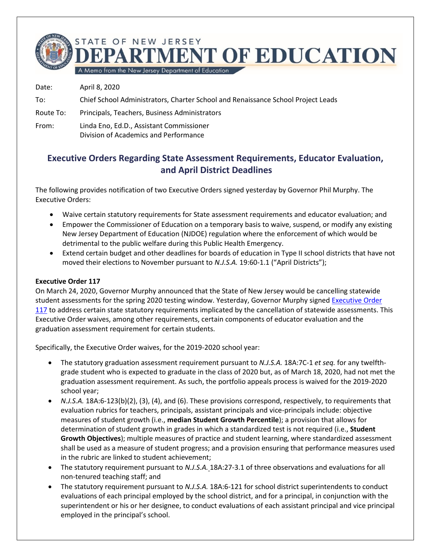**IMENT OF EDUCATION** 

A Memo from the New Jersey Department of Education

STATE OF NEW JERSEY

Date: April 8, 2020 To: Chief School Administrators, Charter School and Renaissance School Project Leads Route To: Principals, Teachers, Business Administrators From: Linda Eno, Ed.D., Assistant Commissioner Division of Academics and Performance

## **Executive Orders Regarding State Assessment Requirements, Educator Evaluation, and April District Deadlines**

The following provides notification of two Executive Orders signed yesterday by Governor Phil Murphy. The Executive Orders:

- Waive certain statutory requirements for State assessment requirements and educator evaluation; and
- Empower the Commissioner of Education on a temporary basis to waive, suspend, or modify any existing New Jersey Department of Education (NJDOE) regulation where the enforcement of which would be detrimental to the public welfare during this Public Health Emergency.
- Extend certain budget and other deadlines for boards of education in Type II school districts that have not moved their elections to November pursuant to *N.J.S.A.* 19:60-1.1 ("April Districts");

## **Executive Order 117**

On March 24, 2020, Governor Murphy announced that the State of New Jersey would be cancelling statewide student assessments for the spring 2020 testing window. Yesterday, Governor Murphy signed [Executive Order](https://nj.gov/infobank/eo/056murphy/pdf/EO-117.pdf)  [117](https://nj.gov/infobank/eo/056murphy/pdf/EO-117.pdf) to address certain state statutory requirements implicated by the cancellation of statewide assessments. This Executive Order waives, among other requirements, certain components of educator evaluation and the graduation assessment requirement for certain students.

Specifically, the Executive Order waives, for the 2019-2020 school year:

- The statutory graduation assessment requirement pursuant to *N.J.S.A.* 18A:7C-1 *et seq.* for any twelfthgrade student who is expected to graduate in the class of 2020 but, as of March 18, 2020, had not met the graduation assessment requirement. As such, the portfolio appeals process is waived for the 2019-2020 school year;
- *N.J.S.A.* 18A:6-123(b)(2), (3), (4), and (6). These provisions correspond, respectively, to requirements that evaluation rubrics for teachers, principals, assistant principals and vice-principals include: objective measures of student growth (i.e., **median Student Growth Percentile**); a provision that allows for determination of student growth in grades in which a standardized test is not required (i.e., **Student Growth Objectives**); multiple measures of practice and student learning, where standardized assessment shall be used as a measure of student progress; and a provision ensuring that performance measures used in the rubric are linked to student achievement;
- The statutory requirement pursuant to *N.J.S.A.* 18A:27-3.1 of three observations and evaluations for all non-tenured teaching staff; and
- The statutory requirement pursuant to *N.J.S.A.* 18A:6-121 for school district superintendents to conduct evaluations of each principal employed by the school district, and for a principal, in conjunction with the superintendent or his or her designee, to conduct evaluations of each assistant principal and vice principal employed in the principal's school.